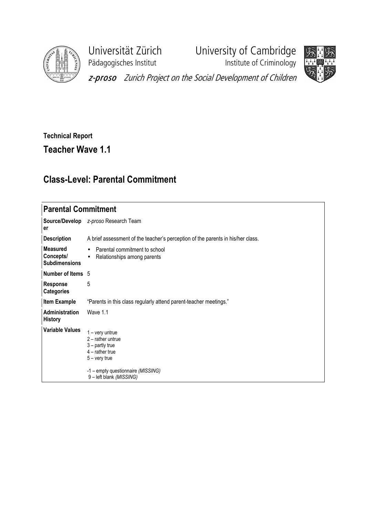

Pädagogisches Institut **Institute of Criminology** 

Universität Zürich University of Cambridge



z-proso Zurich Project on the Social Development of Children

## Technical Report

## Teacher Wave 1.1

## Class-Level: Parental Commitment

## Parental Commitment

| er                                                   | Source/Develop z-proso Research Team                                                                                                                                    |
|------------------------------------------------------|-------------------------------------------------------------------------------------------------------------------------------------------------------------------------|
| <b>Description</b>                                   | A brief assessment of the teacher's perception of the parents in his/her class.                                                                                         |
| <b>Measured</b><br>Concepts/<br><b>Subdimensions</b> | Parental commitment to school<br>$\bullet$<br>Relationships among parents<br>$\bullet$                                                                                  |
| Number of Items 5                                    |                                                                                                                                                                         |
| <b>Response</b><br><b>Categories</b>                 | 5                                                                                                                                                                       |
| <b>Item Example</b>                                  | "Parents in this class regularly attend parent-teacher meetings."                                                                                                       |
| <b>Administration</b><br><b>History</b>              | Wave 1.1                                                                                                                                                                |
| <b>Variable Values</b>                               | $1 - \text{very}$<br>$2$ – rather untrue<br>$3$ – partly true<br>$4$ – rather true<br>$5 -$ very true<br>-1 – empty questionnaire (MISSING)<br>9 - left blank (MISSING) |